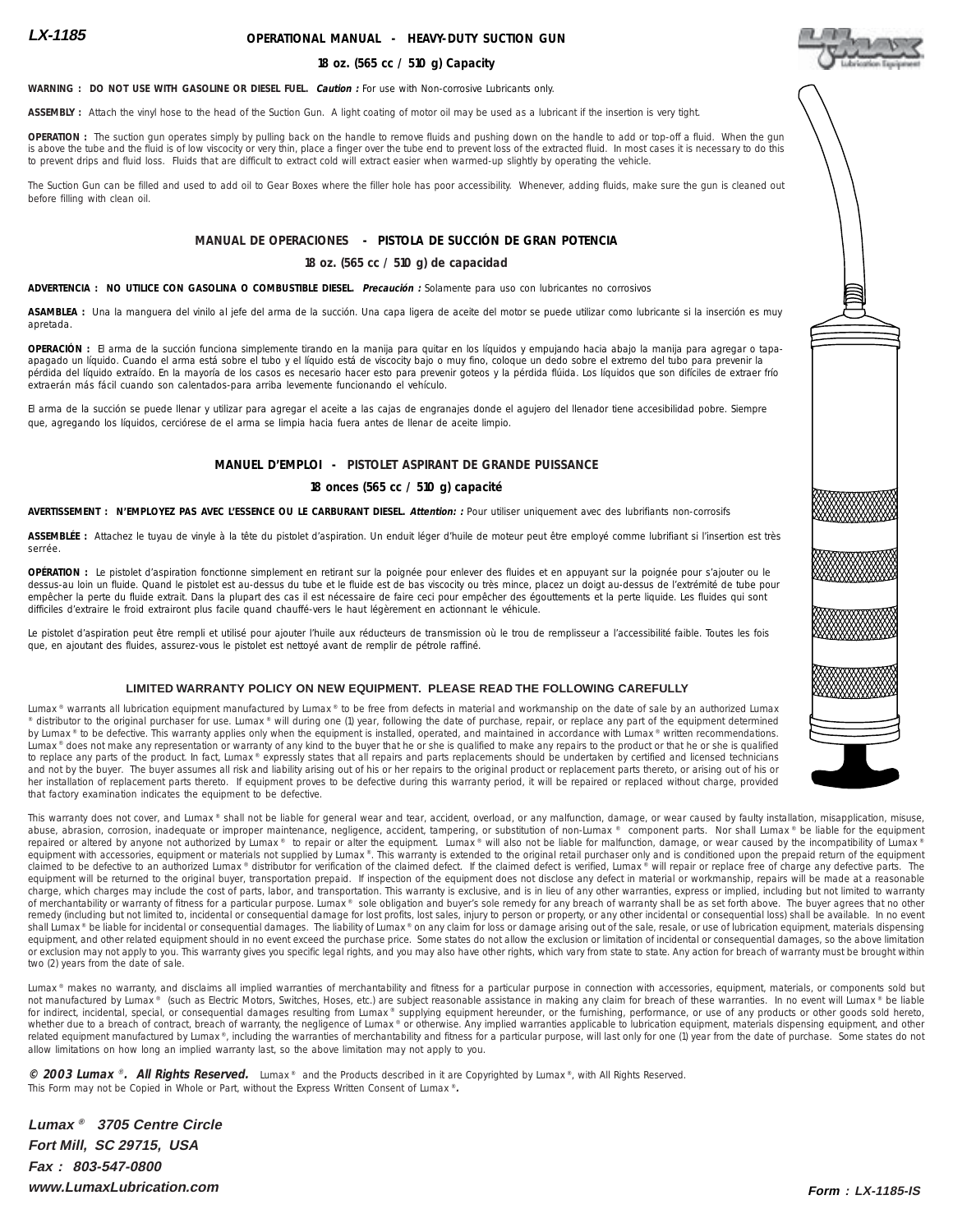# **OPERATIONAL MANUAL - HEAVY-DUTY SUCTION GUN**

#### **18 oz. (565 cc / 510 g) Capacity**

**WARNING : DO NOT USE WITH GASOLINE OR DIESEL FUEL. Caution :** For use with Non-corrosive Lubricants only.

**ASSEMBLY :** Attach the vinyl hose to the head of the Suction Gun. A light coating of motor oil may be used as a lubricant if the insertion is very tight.

**OPERATION :** The suction gun operates simply by pulling back on the handle to remove fluids and pushing down on the handle to add or top-off a fluid. When the gun is above the tube and the fluid is of low viscocity or very thin, place a finger over the tube end to prevent loss of the extracted fluid. In most cases it is necessary to do this to prevent drips and fluid loss. Fluids that are difficult to extract cold will extract easier when warmed-up slightly by operating the vehicle.

The Suction Gun can be filled and used to add oil to Gear Boxes where the filler hole has poor accessibility. Whenever, adding fluids, make sure the gun is cleaned out before filling with clean oil.

## **MANUAL DE OPERACIONES - PISTOLA DE SUCCIÓN DE GRAN POTENCIA**

#### **18 oz. (565 cc / 510 g) de capacidad**

**ADVERTENCIA : NO UTILICE CON GASOLINA O COMBUSTIBLE DIESEL. Precaución :** Solamente para uso con lubricantes no corrosivos

**ASAMBLEA :** Una la manguera del vinilo al jefe del arma de la succión. Una capa ligera de aceite del motor se puede utilizar como lubricante si la inserción es muy apretada.

**OPERACIÓN :** El arma de la succión funciona simplemente tirando en la manija para quitar en los líquidos y empujando hacia abajo la manija para agregar o tapaapagado un líquido. Cuando el arma está sobre el tubo y el líquido está de viscocity bajo o muy fino, coloque un dedo sobre el extremo del tubo para prevenir la pérdida del líquido extraído. En la mayoría de los casos es necesario hacer esto para prevenir goteos y la pérdida flúida. Los líquidos que son difíciles de extraer frío extraerán más fácil cuando son calentados-para arriba levemente funcionando el vehículo.

El arma de la succión se puede llenar y utilizar para agregar el aceite a las cajas de engranajes donde el agujero del llenador tiene accesibilidad pobre. Siempre que, agregando los líquidos, cerciórese de el arma se limpia hacia fuera antes de llenar de aceite limpio.

## **MANUEL D'EMPLOI - PISTOLET ASPIRANT DE GRANDE PUISSANCE**

### **18 onces (565 cc / 510 g) capacité**

**AVERTISSEMENT : N'EMPLOYEZ PAS AVEC L'ESSENCE OU LE CARBURANT DIESEL. Attention: :** Pour utiliser uniquement avec des lubrifiants non-corrosifs

**ASSEMBLÉE :** Attachez le tuyau de vinyle à la tête du pistolet d'aspiration. Un enduit léger d'huile de moteur peut être employé comme lubrifiant si l'insertion est très serrée.

**OPÉRATION :** Le pistolet d'aspiration fonctionne simplement en retirant sur la poignée pour enlever des fluides et en appuyant sur la poignée pour s'ajouter ou le dessus-au loin un fluide. Quand le pistolet est au-dessus du tube et le fluide est de bas viscocity ou très mince, placez un doigt au-dessus de l'extrémité de tube pour empêcher la perte du fluide extrait. Dans la plupart des cas il est nécessaire de faire ceci pour empêcher des égouttements et la perte liquide. Les fluides qui sont difficiles d'extraire le froid extrairont plus facile quand chauffé-vers le haut légèrement en actionnant le véhicule.

Le pistolet d'aspiration peut être rempli et utilisé pour ajouter l'huile aux réducteurs de transmission où le trou de remplisseur a l'accessibilité faible. Toutes les fois que, en ajoutant des fluides, assurez-vous le pistolet est nettoyé avant de remplir de pétrole raffiné.

#### **LIMITED WARRANTY POLICY ON NEW EQUIPMENT. PLEASE READ THE FOLLOWING CAREFULLY**

Lumax ® warrants all lubrication equipment manufactured by Lumax ® to be free from defects in material and workmanship on the date of sale by an authorized Lumax distributor to the original purchaser for use. Lumax ® will during one (1) year, following the date of purchase, repair, or replace any part of the equipment determined by Lumax ® to be defective. This warranty applies only when the equipment is installed, operated, and maintained in accordance with Lumax ® written recommendations. Lumax ® does not make any representation or warranty of any kind to the buyer that he or she is qualified to make any repairs to the product or that he or she is qualified to replace any parts of the product. In fact, Lumax® expressly states that all repairs and parts replacements should be undertaken by certified and licensed technicians and not by the buyer. The buyer assumes all risk and liability arising out of his or her repairs to the original product or replacement parts thereto, or arising out of his or her installation of replacement parts thereto. If equipment proves to be defective during this warranty period, it will be repaired or replaced without charge, provided that factory examination indicates the equipment to be defective.

This warranty does not cover, and Lumax ® shall not be liable for general wear and tear, accident, overload, or any malfunction, damage, or wear caused by faulty installation, misapplication, misuse, abuse, abrasion, corrosion, inadequate or improper maintenance, negligence, accident, tampering, or substitution of non-Lumax ® component parts. Nor shall Lumax ® be liable for the equipment<br>repaired or altered by anyone n equipment with accessories, equipment or materials not supplied by Lumax®. This warranty is extended to the original retail purchaser only and is conditioned upon the prepaid return of the equipment<br>claimed to be defective equipment will be returned to the original buyer, transportation prepaid. If inspection of the equipment does not disclose any defect in material or workmanship, repairs will be made at a reasonable charge, which charges may include the cost of parts, labor, and transportation. This warranty is exclusive, and is in lieu of any other warranties, express or implied, including but not limited to warranty of merchantability or warranty of fitness for a particular purpose. Lumax ® sole obligation and buyer's sole remedy for any breach of warranty shall be as set forth above. The buyer agrees that no other remedy (including but not limited to, incidental or consequential damage for lost profits, lost sales, injury to person or property, or any other incidental or consequential loss) shall be available. In no event shall Lumax ® be liable for incidental or consequential damages. The liability of Lumax ® on any claim for loss or damage arising out of the sale, resale, or use of lubrication equipment, materials dispensing equipment, and other related equipment should in no event exceed the purchase price. Some states do not allow the exclusion or limitation of incidental or consequential damages, so the above limitation or exclusion may not apply to you. This warranty gives you specific legal rights, and you may also have other rights, which vary from state to state. Any action for breach of warranty must be brought within two (2) years from the date of sale.

Lumax ® makes no warranty, and disclaims all implied warranties of merchantability and fitness for a particular purpose in connection with accessories, equipment, materials, or components sold but<br>not manufactured by Lumax for indirect, incidental, special, or consequential damages resulting from Lumax® supplying equipment hereunder, or the furnishing, performance, or use of any products or other goods sold hereto,<br>whether due to a breach of related equipment manufactured by Lumax®, including the warranties of merchantability and fitness for a particular purpose, will last only for one (1) year from the date of purchase. Some states do not allow limitations on how long an implied warranty last, so the above limitation may not apply to you.

**© 2003 Lumax** ® **. All Rights Reserved.** Lumax ® and the Products described in it are Copyrighted by Lumax ®, with All Rights Reserved. This Form may not be Copied in Whole or Part, without the Express Written Consent of Lumax ®**.**

**Lumax ® 3705 Centre Circle Fort Mill, SC 29715, USA Fax : 803-547-0800 www.LumaxLubrication.com Form : LX-1185-IS**